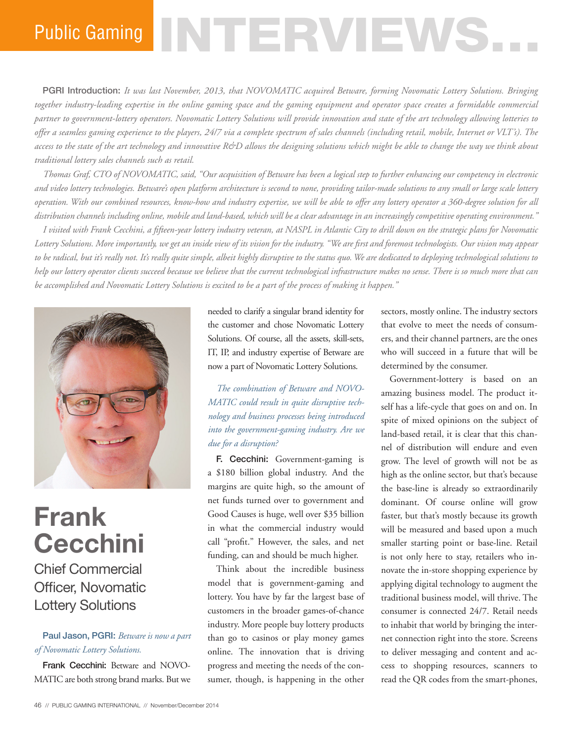# Public Gaming NTTERVIEWS

PGRI Introduction: *It was last November, 2013, that NOVOMATIC acquired Betware, forming Novomatic Lottery Solutions. Bringing together industry-leading expertise in the online gaming space and the gaming equipment and operator space creates a formidable commercial partner to government-lottery operators. Novomatic Lottery Solutions will provide innovation and state of the art technology allowing lotteries to offer a seamless gaming experience to the players, 24/7 via a complete spectrum of sales channels (including retail, mobile, Internet or VLT's). The access to the state of the art technology and innovative R&D allows the designing solutions which might be able to change the way we think about traditional lottery sales channels such as retail.*

*Thomas Graf, CTO of NOVOMATIC, said, "Our acquisition of Betware has been a logical step to further enhancing our competency in electronic and video lottery technologies. Betware's open platform architecture is second to none, providing tailor-made solutions to any small or large scale lottery operation. With our combined resources, know-how and industry expertise, we will be able to offer any lottery operator a 360-degree solution for all distribution channels including online, mobile and land-based, which will be a clear advantage in an increasingly competitive operating environment."*

*I visited with Frank Cecchini, a fifteen-year lottery industry veteran, at NASPL in Atlantic City to drill down on the strategic plans for Novomatic Lottery Solutions. More importantly, we get an inside view of its vision for the industry. "We are first and foremost technologists. Our vision may appear to be radical, but it's really not. It's really quite simple, albeit highly disruptive to the status quo. We are dedicated to deploying technological solutions to help our lottery operator clients succeed because we believe that the current technological infrastructure makes no sense. There is so much more that can be accomplished and Novomatic Lottery Solutions is excited to be a part of the process of making it happen."*



## **Frank Cecchini**

### Chief Commercial Officer, Novomatic Lottery Solutions

#### Paul Jason, PGRI: *Betware is now a part of Novomatic Lottery Solutions.*

Frank Cecchini: Betware and NOVO-MATIC are both strong brand marks. But we needed to clarify a singular brand identity for the customer and chose Novomatic Lottery Solutions. Of course, all the assets, skill-sets, IT, IP, and industry expertise of Betware are now a part of Novomatic Lottery Solutions.

*The combination of Betware and NOVO-MATIC could result in quite disruptive technology and business processes being introduced into the government-gaming industry. Are we due for a disruption?* 

F. Cecchini: Government-gaming is a \$180 billion global industry. And the margins are quite high, so the amount of net funds turned over to government and Good Causes is huge, well over \$35 billion in what the commercial industry would call "profit." However, the sales, and net funding, can and should be much higher.

Think about the incredible business model that is government-gaming and lottery. You have by far the largest base of customers in the broader games-of-chance industry. More people buy lottery products than go to casinos or play money games online. The innovation that is driving progress and meeting the needs of the consumer, though, is happening in the other

sectors, mostly online. The industry sectors that evolve to meet the needs of consumers, and their channel partners, are the ones who will succeed in a future that will be determined by the consumer.

Government-lottery is based on an amazing business model. The product itself has a life-cycle that goes on and on. In spite of mixed opinions on the subject of land-based retail, it is clear that this channel of distribution will endure and even grow. The level of growth will not be as high as the online sector, but that's because the base-line is already so extraordinarily dominant. Of course online will grow faster, but that's mostly because its growth will be measured and based upon a much smaller starting point or base-line. Retail is not only here to stay, retailers who innovate the in-store shopping experience by applying digital technology to augment the traditional business model, will thrive. The consumer is connected 24/7. Retail needs to inhabit that world by bringing the internet connection right into the store. Screens to deliver messaging and content and access to shopping resources, scanners to read the QR codes from the smart-phones,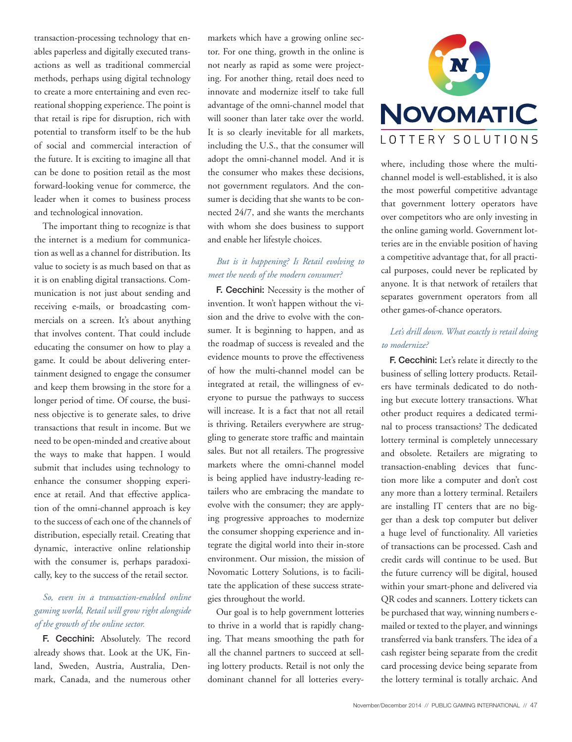transaction-processing technology that enables paperless and digitally executed transactions as well as traditional commercial methods, perhaps using digital technology to create a more entertaining and even recreational shopping experience. The point is that retail is ripe for disruption, rich with potential to transform itself to be the hub of social and commercial interaction of the future. It is exciting to imagine all that can be done to position retail as the most forward-looking venue for commerce, the leader when it comes to business process and technological innovation.

The important thing to recognize is that the internet is a medium for communication as well as a channel for distribution. Its value to society is as much based on that as it is on enabling digital transactions. Communication is not just about sending and receiving e-mails, or broadcasting commercials on a screen. It's about anything that involves content. That could include educating the consumer on how to play a game. It could be about delivering entertainment designed to engage the consumer and keep them browsing in the store for a longer period of time. Of course, the business objective is to generate sales, to drive transactions that result in income. But we need to be open-minded and creative about the ways to make that happen. I would submit that includes using technology to enhance the consumer shopping experience at retail. And that effective application of the omni-channel approach is key to the success of each one of the channels of distribution, especially retail. Creating that dynamic, interactive online relationship with the consumer is, perhaps paradoxically, key to the success of the retail sector.

#### *So, even in a transaction-enabled online gaming world, Retail will grow right alongside of the growth of the online sector.*

F. Cecchini: Absolutely. The record already shows that. Look at the UK, Finland, Sweden, Austria, Australia, Denmark, Canada, and the numerous other markets which have a growing online sector. For one thing, growth in the online is not nearly as rapid as some were projecting. For another thing, retail does need to innovate and modernize itself to take full advantage of the omni-channel model that will sooner than later take over the world. It is so clearly inevitable for all markets, including the U.S., that the consumer will adopt the omni-channel model. And it is the consumer who makes these decisions, not government regulators. And the consumer is deciding that she wants to be connected 24/7, and she wants the merchants with whom she does business to support and enable her lifestyle choices.

#### *But is it happening? Is Retail evolving to meet the needs of the modern consumer?*

F. Cecchini: Necessity is the mother of invention. It won't happen without the vision and the drive to evolve with the consumer. It is beginning to happen, and as the roadmap of success is revealed and the evidence mounts to prove the effectiveness of how the multi-channel model can be integrated at retail, the willingness of everyone to pursue the pathways to success will increase. It is a fact that not all retail is thriving. Retailers everywhere are struggling to generate store traffic and maintain sales. But not all retailers. The progressive markets where the omni-channel model is being applied have industry-leading retailers who are embracing the mandate to evolve with the consumer; they are applying progressive approaches to modernize the consumer shopping experience and integrate the digital world into their in-store environment. Our mission, the mission of Novomatic Lottery Solutions, is to facilitate the application of these success strategies throughout the world.

Our goal is to help government lotteries to thrive in a world that is rapidly changing. That means smoothing the path for all the channel partners to succeed at selling lottery products. Retail is not only the dominant channel for all lotteries every-



where, including those where the multichannel model is well-established, it is also the most powerful competitive advantage that government lottery operators have over competitors who are only investing in the online gaming world. Government lotteries are in the enviable position of having a competitive advantage that, for all practical purposes, could never be replicated by anyone. It is that network of retailers that separates government operators from all other games-of-chance operators.

#### *Let's drill down. What exactly is retail doing to modernize?*

F. Cecchini: Let's relate it directly to the business of selling lottery products. Retailers have terminals dedicated to do nothing but execute lottery transactions. What other product requires a dedicated terminal to process transactions? The dedicated lottery terminal is completely unnecessary and obsolete. Retailers are migrating to transaction-enabling devices that function more like a computer and don't cost any more than a lottery terminal. Retailers are installing IT centers that are no bigger than a desk top computer but deliver a huge level of functionality. All varieties of transactions can be processed. Cash and credit cards will continue to be used. But the future currency will be digital, housed within your smart-phone and delivered via QR codes and scanners. Lottery tickets can be purchased that way, winning numbers emailed or texted to the player, and winnings transferred via bank transfers. The idea of a cash register being separate from the credit card processing device being separate from the lottery terminal is totally archaic. And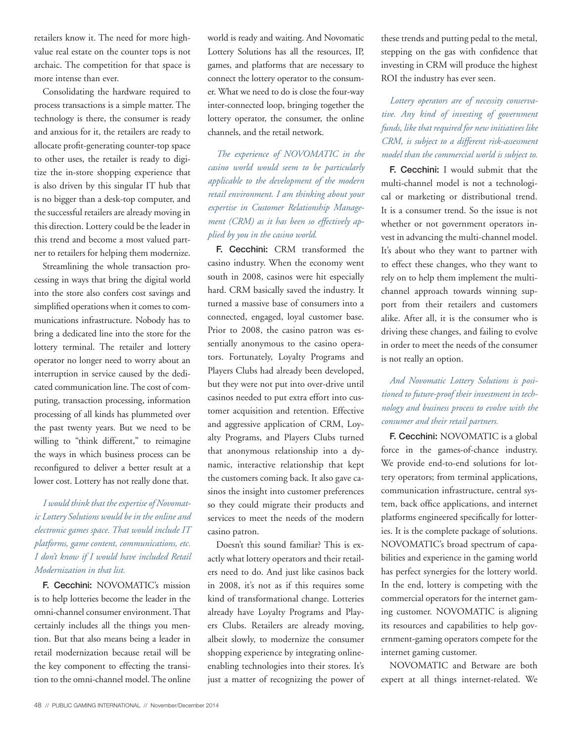retailers know it. The need for more highvalue real estate on the counter tops is not archaic. The competition for that space is more intense than ever.

Consolidating the hardware required to process transactions is a simple matter. The technology is there, the consumer is ready and anxious for it, the retailers are ready to allocate profit-generating counter-top space to other uses, the retailer is ready to digitize the in-store shopping experience that is also driven by this singular IT hub that is no bigger than a desk-top computer, and the successful retailers are already moving in this direction. Lottery could be the leader in this trend and become a most valued partner to retailers for helping them modernize.

Streamlining the whole transaction processing in ways that bring the digital world into the store also confers cost savings and simplified operations when it comes to communications infrastructure. Nobody has to bring a dedicated line into the store for the lottery terminal. The retailer and lottery operator no longer need to worry about an interruption in service caused by the dedicated communication line. The cost of computing, transaction processing, information processing of all kinds has plummeted over the past twenty years. But we need to be willing to "think different," to reimagine the ways in which business process can be reconfigured to deliver a better result at a lower cost. Lottery has not really done that.

#### *I would think that the expertise of Novomatic Lottery Solutions would be in the online and electronic games space. That would include IT platforms, game content, communications, etc. I don't know if I would have included Retail Modernization in that list.*

F. Cecchini: NOVOMATIC's mission is to help lotteries become the leader in the omni-channel consumer environment. That certainly includes all the things you mention. But that also means being a leader in retail modernization because retail will be the key component to effecting the transition to the omni-channel model. The online world is ready and waiting. And Novomatic Lottery Solutions has all the resources, IP, games, and platforms that are necessary to connect the lottery operator to the consumer. What we need to do is close the four-way inter-connected loop, bringing together the lottery operator, the consumer, the online channels, and the retail network.

*The experience of NOVOMATIC in the casino world would seem to be particularly applicable to the development of the modern retail environment. I am thinking about your expertise in Customer Relationship Management (CRM) as it has been so effectively applied by you in the casino world.*

F. Cecchini: CRM transformed the casino industry. When the economy went south in 2008, casinos were hit especially hard. CRM basically saved the industry. It turned a massive base of consumers into a connected, engaged, loyal customer base. Prior to 2008, the casino patron was essentially anonymous to the casino operators. Fortunately, Loyalty Programs and Players Clubs had already been developed, but they were not put into over-drive until casinos needed to put extra effort into customer acquisition and retention. Effective and aggressive application of CRM, Loyalty Programs, and Players Clubs turned that anonymous relationship into a dynamic, interactive relationship that kept the customers coming back. It also gave casinos the insight into customer preferences so they could migrate their products and services to meet the needs of the modern casino patron.

Doesn't this sound familiar? This is exactly what lottery operators and their retailers need to do. And just like casinos back in 2008, it's not as if this requires some kind of transformational change. Lotteries already have Loyalty Programs and Players Clubs. Retailers are already moving, albeit slowly, to modernize the consumer shopping experience by integrating onlineenabling technologies into their stores. It's just a matter of recognizing the power of these trends and putting pedal to the metal, stepping on the gas with confidence that investing in CRM will produce the highest ROI the industry has ever seen.

*Lottery operators are of necessity conservative. Any kind of investing of government funds, like that required for new initiatives like CRM, is subject to a different risk-assessment model than the commercial world is subject to.* 

F. Cecchini: I would submit that the multi-channel model is not a technological or marketing or distributional trend. It is a consumer trend. So the issue is not whether or not government operators invest in advancing the multi-channel model. It's about who they want to partner with to effect these changes, who they want to rely on to help them implement the multichannel approach towards winning support from their retailers and customers alike. After all, it is the consumer who is driving these changes, and failing to evolve in order to meet the needs of the consumer is not really an option.

#### *And Novomatic Lottery Solutions is positioned to future-proof their investment in technology and business process to evolve with the consumer and their retail partners.*

F. Cecchini: NOVOMATIC is a global force in the games-of-chance industry. We provide end-to-end solutions for lottery operators; from terminal applications, communication infrastructure, central system, back office applications, and internet platforms engineered specifically for lotteries. It is the complete package of solutions. NOVOMATIC's broad spectrum of capabilities and experience in the gaming world has perfect synergies for the lottery world. In the end, lottery is competing with the commercial operators for the internet gaming customer. NOVOMATIC is aligning its resources and capabilities to help government-gaming operators compete for the internet gaming customer.

NOVOMATIC and Betware are both expert at all things internet-related. We